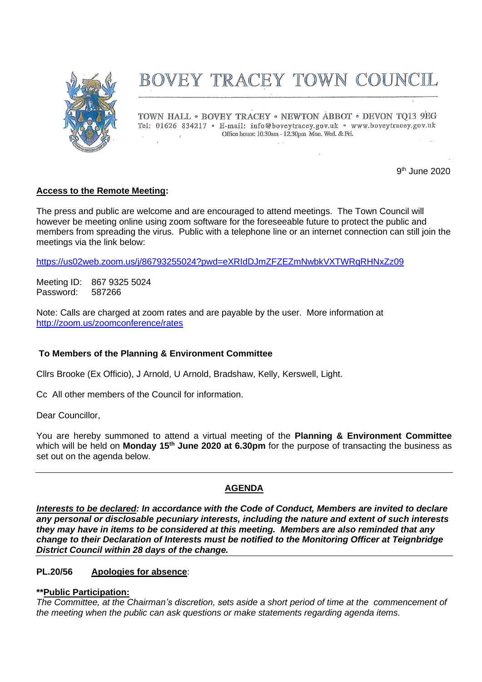

# BOVEY TRACEY TOWN COUNCIL

TOWN HALL . BOVEY TRACEY . NEWTON ABBOT . DEVON TO13 9EG Tel: 01626 834217 · E-mail: info@boveytracey.gov.uk · www.boveytracey.gov.uk Office hours: 10.30am - 12.30pm Mon. Wed. & Fri.  $\mathcal{L}$ 

 $\sim$ 

9 th June 2020

# **Access to the Remote Meeting:**

The press and public are welcome and are encouraged to attend meetings. The Town Council will however be meeting online using zoom software for the foreseeable future to protect the public and members from spreading the virus. Public with a telephone line or an internet connection can still join the meetings via the link below:

<https://us02web.zoom.us/j/86793255024?pwd=eXRIdDJmZFZEZmNwbkVXTWRqRHNxZz09>

Meeting ID: 867 9325 5024 Password: 587266

Note: Calls are charged at zoom rates and are payable by the user. More information at <http://zoom.us/zoomconference/rates>

## **To Members of the Planning & Environment Committee**

Cllrs Brooke (Ex Officio), J Arnold, U Arnold, Bradshaw, Kelly, Kerswell, Light.

Cc All other members of the Council for information.

Dear Councillor,

You are hereby summoned to attend a virtual meeting of the **Planning & Environment Committee** which will be held on **Monday 15th June 2020 at 6.30pm** for the purpose of transacting the business as set out on the agenda below.

## **AGENDA**

*Interests to be declared: In accordance with the Code of Conduct, Members are invited to declare any personal or disclosable pecuniary interests, including the nature and extent of such interests they may have in items to be considered at this meeting. Members are also reminded that any change to their Declaration of Interests must be notified to the Monitoring Officer at Teignbridge District Council within 28 days of the change.*

## **PL.20/56 Apologies for absence**:

## **\*\*Public Participation:**

*The Committee, at the Chairman's discretion, sets aside a short period of time at the commencement of the meeting when the public can ask questions or make statements regarding agenda items.*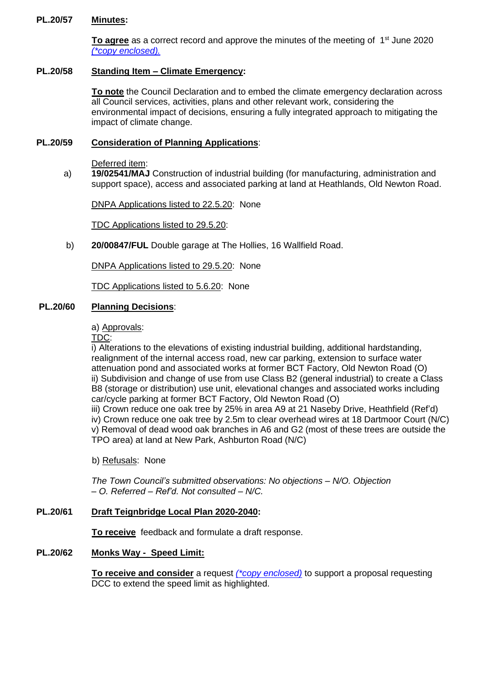## **PL.20/57 Minutes:**

To agree as a correct record and approve the minutes of the meeting of 1<sup>st</sup> June 2020 *(\*copy [enclosed\).](https://www.dropbox.com/s/pa7mv91cro3gszw/15.06.20%20-%20Planning%20Mtg%20Mins%2001.06.20.pdf?dl=0)*

### **PL.20/58 Standing Item – Climate Emergency:**

**To note** the Council Declaration and to embed the climate emergency declaration across all Council services, activities, plans and other relevant work, considering the environmental impact of decisions, ensuring a fully integrated approach to mitigating the impact of climate change.

#### **PL.20/59 Consideration of Planning Applications**:

Deferred item:

a) **19/02541/MAJ** Construction of industrial building (for manufacturing, administration and support space), access and associated parking at land at Heathlands, Old Newton Road.

DNPA Applications listed to 22.5.20: None

TDC Applications listed to 29.5.20:

b) **20/00847/FUL** Double garage at The Hollies, 16 Wallfield Road.

DNPA Applications listed to 29.5.20: None

TDC Applications listed to 5.6.20: None

## **PL.20/60 Planning Decisions**:

a) Approvals:

TDC:

i) Alterations to the elevations of existing industrial building, additional hardstanding, realignment of the internal access road, new car parking, extension to surface water attenuation pond and associated works at former BCT Factory, Old Newton Road (O) ii) Subdivision and change of use from use Class B2 (general industrial) to create a Class B8 (storage or distribution) use unit, elevational changes and associated works including car/cycle parking at former BCT Factory, Old Newton Road (O)

iii) Crown reduce one oak tree by 25% in area A9 at 21 Naseby Drive, Heathfield (Ref'd) iv) Crown reduce one oak tree by 2.5m to clear overhead wires at 18 Dartmoor Court (N/C) v) Removal of dead wood oak branches in A6 and G2 (most of these trees are outside the TPO area) at land at New Park, Ashburton Road (N/C)

b) Refusals: None

 *The Town Council's submitted observations: No objections – N/O. Objection – O. Referred – Ref'd. Not consulted – N/C.*

#### **PL.20/61 Draft Teignbridge Local Plan 2020-2040:**

**To receive** feedback and formulate a draft response.

## **PL.20/62 Monks Way - Speed Limit:**

**To receive and consider** a request *[\(\\*copy enclosed\)](https://www.dropbox.com/s/u6m6yw95q8wa1ko/15.06.20%20-%20Monks%20Way%20Speed%20Limit%20Request.pdf?dl=0)* to support a proposal requesting DCC to extend the speed limit as highlighted.